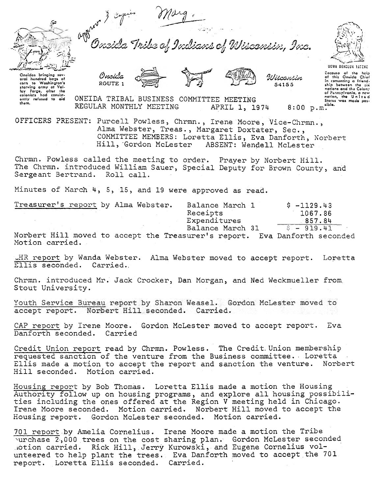

ans of Wisconsin, Inc. Tribe a







Hiteretin

54155

Oneidas brinaina sev-Oncides bringing sover<br>orth hundred bags of<br>corn to Washington's<br>starving army at Valley Forge, offer the<br>ley Forge, offer the<br>consistent of consistently refused to aid<br>them.

sing Surveyor that Colory<br>of Pennsylvania, a new<br>nation, the United<br>States was made pos-ONEIDA TRIBAL BUSINESS COMMITTEE MEETING REGULAR MONTHLY MEETING sible. APRIL 1, 1974  $8:00$  p.m.

OFFICERS PRESENT: Purcell Powless, Chrmn., Irene Moore, Vice-Chrmn., Alma Webster, Treas., Margaret Doxtater, Sec., COMMITTEE MEMBERS: Loretta Ellis, Eva Danforth, Norbert Hill, Gordon McLester ABSENT: Wendell McLester

Chrmn. Powless called the meeting to order. Prayer by Norbert Hill. The Chrmn. introduced William Sauer, Special Deputy for Brown County, and Sergeant Bertrand. Roll call.

Minutes of March 4, 5, 15, and 19 were approved as read.

| Treasurer's report by Alma Webster.                  | Balance March 1  | $$ -1129.43$          |
|------------------------------------------------------|------------------|-----------------------|
|                                                      | Receipts         | 1067.86               |
|                                                      | Expenditures     | 857.84                |
|                                                      | Balance March 31 | $S = 919.41$          |
| Norbert Hill moved to accept the Treasurer's report. |                  | Fua Danfonth seconded |

easurer s rep to accept Motion carried.

LHR report by Wanda Webster. Alma Webster moved to accept report. Loretta Ellis seconded. Carried.

Chrmn. introduced Mr. Jack Crocker, Dan Morgan, and Ned Weckmueller from Stout University.

Youth Service Bureau report by Sharon Weasel. Gordon McLester moved to accept report. Norbert Hill seconded. Carried.

CAP report by Irene Moore. Gordon McLester moved to accept report. Eva Danforth seconded. Carried

Credit Union report read by Chrmn. Powless. The Credit Union membership requested sanction of the venture from the Business committee. Loretta Ellis made a motion to accept the report and sanction the venture. Norbert Hill seconded. Motion carried.

Housing report by Bob Thomas. Loretta Ellis made a motion the Housing Authority follow up on housing programs, and explore all housing possibilities including the ones offered at the Region V meeting held in Chicago. Irene Moore seconded. Motion carried. Norbert Hill moved to accept the Housing report. Gordon McLester seconded. Motion carried.

701 report by Amelia Cornelius. Irene Moore made a motion the Tribe purchase 2,000 trees on the cost sharing plan. Gordon McLester seconded Motion carried. Rick Hill, Jerry Kurowski, and Eugene Cornelius volunteered to help plant the trees. Eva Danforth moved to accept the 701 report. Loretta Ellis seconded. Carried.

**UGWA DEHOLUR YATENE** 

comenting a friend-

ship between the six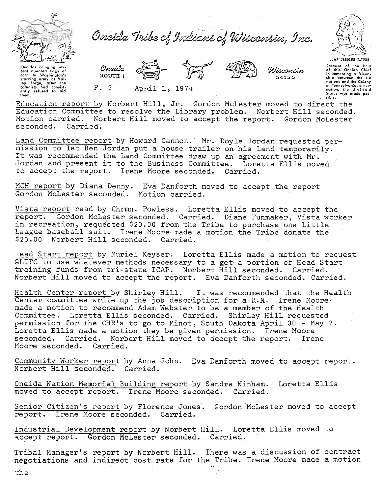

Oneida Tribe of Indians of Wisconsin, Inc.



Wisconsin 54155



Decause of the holp<br>of this Ongida Chief in comonting a friend-<br>ship between the six antions and the Colony<br>of Pennsylvania, a new<br>nation, the United<br>States was made possible.

Onoidas bringing sov-<br>oral hundrod bags of oral hundred corn to Washington's corn to Washington's<br>starving army at Valley Forest<br>ley Forge, after the<br>colonists had consist-<br>only refused to aid<br>them. Orcida

ROUTE 1

 $P.2$ 

Education report by Norbert Hill, Jr. Gordon McLester moved to direct the Education Committee to resolve the Library problem. Norbert Hill seconded. Motion carried. Norbert Hill moved to accept the report. Gordon McLester seconded. Carried.

Land Committee report by Howard Cannon. Mr. Doyle Jordan requested permission to let Ben Jordan put a house trailer on his land temporarily. It was recommended the Land Committee draw up an agreement with Mr. Jordan and present it to the Business Committee. Loretta Ellis moved to accept the report. Irene Moore seconded. Carried.

MCH report by Diana Denny. Eva Danforth moved to accept the report Gordon McLester seconded. Motion carried.

April 1, 1974

Vista report read by Chrmn. Powless. Loretta Ellis moved to accept the report. Gordon McLester seconded. Carried. Diane Funmaker, Vista worker in recreation, requested \$20.00 from the Tribe to purchase one Little League baseball suit. Irene Moore made a motion the Tribe donate the \$20.00 Norbert Hill seconded. Carried.

ead Start report by Muriel Keyser. Loretta Ellis made a motion to request GLITC to use whatever methods necessary to a get a portion of Head Start training funds from tri-state ICAP. Norbert Hill seconded. Carried. Norbert Hill moved to accept the report. Eva Danforth seconded. Carried.

Health Center report by Shirley Hill. It was recommended that the Health Center committee write up the job description for a R.N. Irene Moore made a motion to recommend Adam Webster to be a member of the Health Committee. Loretta Ellis seconded. Carried. Shirley Hill requested permission for the CHR's to go to Minot, South Dakota April 30 - May 2. Loretta Ellis made a motion they be given permission. Irene Moore seconded. Carried. Norbert Hill moved to accept the report. Irene Moore seconded. Carried.

Community Worker report by Anna John. Eva Danforth moved to accept report. Norbert Hill seconded. Carried.

Oneida Nation Memorial Building report by Sandra Ninham. Loretta Ellis moved to accept report. Irene Moore seconded. Carried.

Senior Citizen's report by Florence Jones. Gordon McLester moved to accept report. Irene Moore seconded. Carried.

Industrial Development report by Norbert Hill. Loretta Ellis moved to accept report. Gordon McLester seconded. Carried.

Tribal Manager's report by Norbert Hill. There was a discussion of contract negotiations and indirect cost rate for the Tribe. Irene Moore made a motion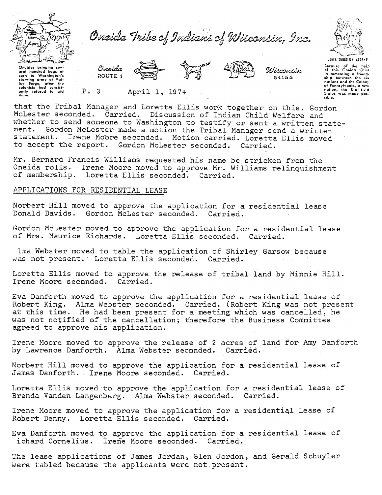

Oneida Tribe of Indians of Wisconsin, Inc.



Oncidas bringing sovoral hundred bacs of corn to Washington's<br>starving army at Valley Forge, after the

Oneida ROUTE 1

April 1, 1974



Wiscsnsin 54155

Gecause of the help<br>of this Cneida Chief in comonting a friend-<br>ship between the six ship but the Colony nations and the Catolic,<br>of Pennsylvania, a new<br>nation, the United<br>States was made possibie.

ley forge, after the<br>ley forge, after the<br>colonists had consist-<br>only refused to aid

that the Tribal Manager and Loretta Ellis work together on this. Gordon McLester seconded. Carried. Discussion of Indian Child Welfare and whether to send someone to Washington to testify or sent a written statement. Gordon McLester made a motion the Tribal Manager send a written statement. Irene Moore seconded. Motion carried. Loretta Ellis moved to accept the report. Gordon McLester seconded. Carried.

Mr. Bernard Francis Williams requested his name be stricken from the Oneida rolls. Irene Moore moved to approve Mr. Williams relinquishment of membership. Loretta Ellis seconded. Carried.

## APPLICATIONS FOR RESIDENTIAL LEASE

 $P.3$ 

Norbert Hill moved to approve the application for a residential lease Donald Davids. Gordon McLester seconded. Carried.

Gordon McLester moved to approve the application for a residential lease of Mrs. Maurice Richards. Loretta Ellis seconded. Carried.

lma Webster moved to table the application of Shirley Garsow because was not present. Loretta Ellis seconded. Carried.

Loretta Ellis moved to approve the release of tribal land by Minnie Hill. Irene Moore seconded. Carried.

Eva Danforth moved to approve the application for a residential lease of Robert King. Alma Webster seconded. Carried. (Robert King was not present at this time. He had been present for a meeting which was cancelled, he was not notified of the cancellation; therefore the Business Committee agreed to approve his application.

Irene Moore moved to approve the release of 2 acres of land for Amy Danforth by Lawrence Danforth. Alma Webster seconded. Carried.

Norbert Hill moved to approve the application for a residential lease of James Danforth. Irene Moore seconded. Carried.

Loretta Ellis moved to approve the application for a residential lease of Brenda Vanden Langenberg. Alma Webster seconded. Carried.

Irene Moore moved to approve the application for a residential lease of Robert Denny. Loretta Ellis seconded. Carried.

Eva Danforth moved to approve the application for a residential lease of ichard Cornelius. Irene Moore seconded. Carried.

The lease applications of James Jordan, Glen Jordon, and Gerald Schuyler were tabled because the applicants were not present.